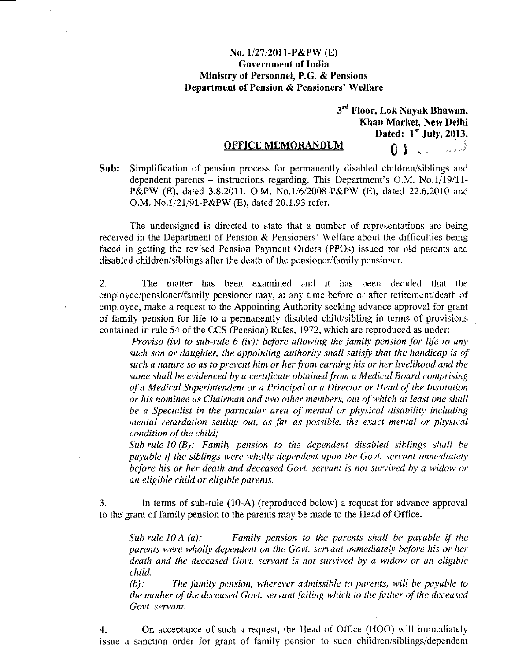## No. 1/27/2011·P&PW (E) Government of India Ministry of Personnel, P.G. & Pensions Department of Pension & Pensioners' Welfare

3<sup>rd</sup> Floor, Lok Nayak Bhawan Khan Market, New Delhi

Dated:  $1<sup>st</sup>$  July, 2013. OFFICE MEMORANDUM (1)

Sub: Simplification of pension process for permanently disabled children/siblings and dependent parents - instructions regarding. This Department's O.M. No.l/19/11- P&PW (E), dated 3.8.2011, O.M. NO.l/6/2008-P&PW (E), dated 22.6.2010 and O.M. No.1/21/91-P&PW (E), dated 20.1.93 refer.

The undersigned is directed to state that a number of representations are being received in the Department of Pension & Pensioners' Welfare about the difficulties being faced in getting the revised Pension Payment Orders (PPOs) issued for old parents and disabled children/siblings after the death of the pensioner/family pensioner.

2. The matter has been examined and it has been decided that the employee/pensioner/family pensioner may, at any time before or after retirement/death of employee, make a request to the Appointing Authority seeking advance approval for grant of family pension for life to a permanently disabled child/sibling in terms of provisions contained in rule 54 of the CCS (Pension) Rules, 1972, which are reproduced as under:

*Proviso (iv) to sub-rule* 6 *(iv): before allowing the family pension for life to any such son or daughter, the appointing authority shall satisfy that the handicap is of such a nature so as to prevent him or her from earning his or her livelihood and the same shall be evidenced by a certificate obtained from a Medical Board comprising of a Medical Superintendent or a Principal or a Director or Head of the Institution or his nominee as Chairman and two other members, out of which at least one shall be a Specialist in the particular area of mental or physical disability including mental retardation setting out, as far as possible, the exact mental or physical condition of the child;*

*Sub rule 10 (B): Family pension to the dependent disabled siblings shall be payable if the siblings were wholly dependent upon the Govt. servant immediately before his or her death and deceased Govt. servant is not survived by a widow or an eligible child or eligible parents.*

3. In terms of sub-rule (lO-A) (reproduced below) a request for advance approval to the grant of family pension to the parents may be made to the Head of Office.

*Sub rule 10 A (a): Family pension to the parents shall be payable if the parents were wholly dependent on the Govt. servant immediately before his or her death and the deceased Govt. servant is not survived by a widow or an eligible child.*

*(b): The family pension, wherever admissible to parents, will be payable to the mother of the deceased Govt. servant failing which to the father of the deceased Govt. servant.*

4. On acceptance of such a request, the Head of Office (HOO) will immediately issue a sanction order for grant of family pension to such children/siblings/dependent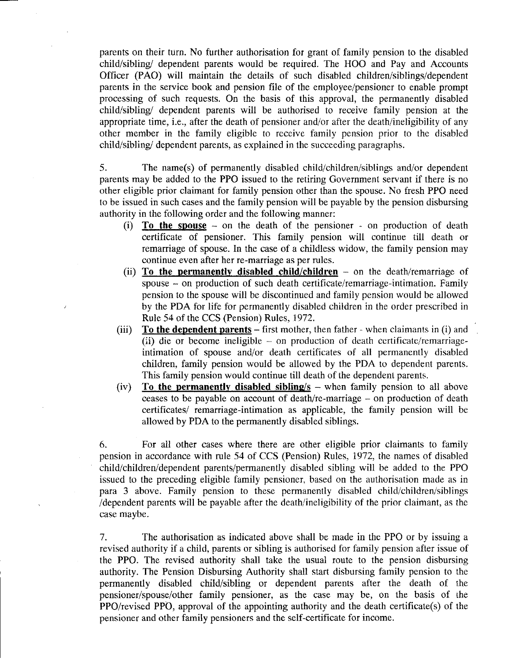parents on their turn. No further authorisation for grant of family pension to the disabled child/sibling/ dependent parents would be required. The HOO and Pay and Accounts Officer (PAO) will maintain the details of such disabled children/siblings/dependent parents in the service book and pension file of the employee/pensioner to enable prompt processing of such requests. On the basis of this approval, the permanently disabled child/sibling/ dependent parents will be authorised to receive family pension at the appropriate time, i.e., after the death of pensioner and/or after the death/ineligibility of any other member in the family eligible to receive family pension prior to the disabled child/sibling/ dependent parents, as explained in the succeeding paragraphs.

5. The name(s) of permanently disabled child/children/siblings and/or dependent parents may be added to the PPO issued to the retiring Government servant if there is no other eligible prior claimant for family pension other than the spouse. No fresh PPO need to be issued in such cases and the family pension will be payable by the pension disbursing authority in the following order and the following manner:

- (i) **To the spouse -** on the death of the pensioner on production of death certificate of pensioner. This family pension will continue till death or remarriage of spouse. In the case of a childless widow, the family pension may continue even after her re-marriage as per rules.
- (ii) **To the permanently disabled child/children -** on the death/remarriage of spouse - on production of such death certificate/remarriage-intimation. Family pension to the spouse will be discontinued and family pension would be allowed by the PDA for life for permanently disabled children in the order prescribed in Rule 54 of the CCS (Pension) Rules, 1972.
- (iii) **To the dependent parents -** first mother, then father when claimants in (i) and (ii) die or become ineligible - on production of death certificate/remarriageintimation of spouse and/or death certificates of all permanently disabled children, family pension would be allowed by the PDA to dependent parents. This family pension would continue till death of the dependent parents.
- (iv) **To the permanently disabled sibling/s -** when family pension to all above ceases to be payable on account of death/re-marriage  $-$  on production of death certificates/ remarriage-intimation as applicable, the family pension will be allowed by PDA to the permanently disabled siblings.

6. For all other cases where there are other eligible prior claimants to family pension in accordance with rule 54 of CCS (Pension) Rules, 1972, the names of disabled child/children/dependent parents/permanently disabled sibling will be added to the PPO issued to the preceding eligible family pensioner, based on the authorisation made as in para 3 above. Family pension to these permanently disabled child/children/siblings /dependent parents will be payable after the death/ineligibility of the prior claimant, as the case maybe.

7. The authorisation as indicated above shall be made in the PPO or by issuing a revised authority if a child, parents or sibling is authorised for family pension after issue of the PPO. The revised authority shall take the usual route to the pension disbursing authority. The Pension Disbursing Authority shall start disbursing family pension to the permanently disabled child/sibling or dependent parents after the death of the pensioner/spouse/other family pensioner, as the case may be, on the basis of the PPO/revised PPO, approval of the appointing authority and the death certificate(s) of the pensioner and other family pensioners and the self-certificate for income.